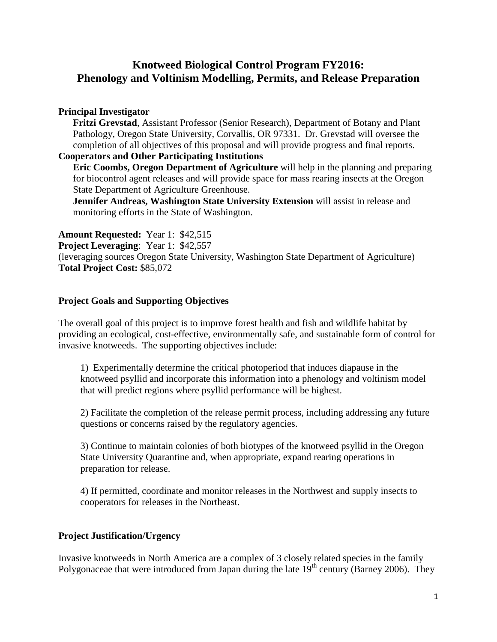### **Knotweed Biological Control Program FY2016: Phenology and Voltinism Modelling, Permits, and Release Preparation**

#### **Principal Investigator**

**Fritzi Grevstad**, Assistant Professor (Senior Research), Department of Botany and Plant Pathology, Oregon State University, Corvallis, OR 97331. Dr. Grevstad will oversee the completion of all objectives of this proposal and will provide progress and final reports.

#### **Cooperators and Other Participating Institutions**

**Eric Coombs, Oregon Department of Agriculture** will help in the planning and preparing for biocontrol agent releases and will provide space for mass rearing insects at the Oregon State Department of Agriculture Greenhouse.

**Jennifer Andreas, Washington State University Extension** will assist in release and monitoring efforts in the State of Washington.

**Amount Requested:** Year 1: \$42,515

**Project Leveraging**: Year 1: \$42,557

(leveraging sources Oregon State University, Washington State Department of Agriculture) **Total Project Cost:** \$85,072

#### **Project Goals and Supporting Objectives**

The overall goal of this project is to improve forest health and fish and wildlife habitat by providing an ecological, cost-effective, environmentally safe, and sustainable form of control for invasive knotweeds. The supporting objectives include:

1) Experimentally determine the critical photoperiod that induces diapause in the knotweed psyllid and incorporate this information into a phenology and voltinism model that will predict regions where psyllid performance will be highest.

2) Facilitate the completion of the release permit process, including addressing any future questions or concerns raised by the regulatory agencies.

3) Continue to maintain colonies of both biotypes of the knotweed psyllid in the Oregon State University Quarantine and, when appropriate, expand rearing operations in preparation for release.

4) If permitted, coordinate and monitor releases in the Northwest and supply insects to cooperators for releases in the Northeast.

#### **Project Justification/Urgency**

Invasive knotweeds in North America are a complex of 3 closely related species in the family Polygonaceae that were introduced from Japan during the late  $19<sup>th</sup>$  century (Barney 2006). They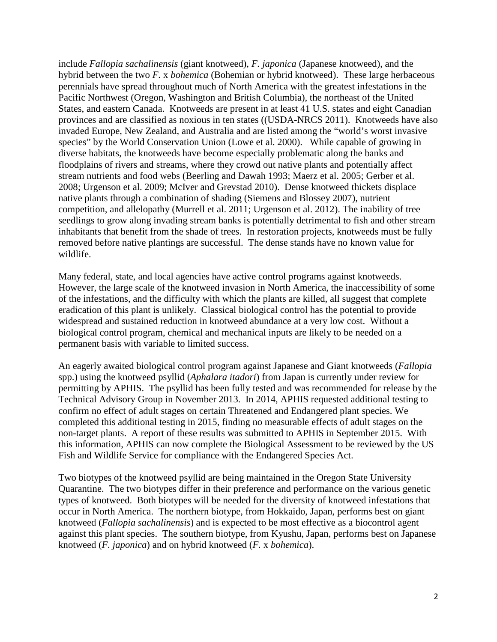include *Fallopia sachalinensis* (giant knotweed), *F. japonica* (Japanese knotweed), and the hybrid between the two *F.* x *bohemica* (Bohemian or hybrid knotweed). These large herbaceous perennials have spread throughout much of North America with the greatest infestations in the Pacific Northwest (Oregon, Washington and British Columbia), the northeast of the United States, and eastern Canada. Knotweeds are present in at least 41 U.S. states and eight Canadian provinces and are classified as noxious in ten states ((USDA-NRCS 2011). Knotweeds have also invaded Europe, New Zealand, and Australia and are listed among the "world's worst invasive species" by the World Conservation Union (Lowe et al. 2000). While capable of growing in diverse habitats, the knotweeds have become especially problematic along the banks and floodplains of rivers and streams, where they crowd out native plants and potentially affect stream nutrients and food webs (Beerling and Dawah 1993; Maerz et al. 2005; Gerber et al. 2008; Urgenson et al. 2009; McIver and Grevstad 2010). Dense knotweed thickets displace native plants through a combination of shading (Siemens and Blossey 2007), nutrient competition, and allelopathy (Murrell et al. 2011; Urgenson et al. 2012). The inability of tree seedlings to grow along invading stream banks is potentially detrimental to fish and other stream inhabitants that benefit from the shade of trees. In restoration projects, knotweeds must be fully removed before native plantings are successful. The dense stands have no known value for wildlife.

Many federal, state, and local agencies have active control programs against knotweeds. However, the large scale of the knotweed invasion in North America, the inaccessibility of some of the infestations, and the difficulty with which the plants are killed, all suggest that complete eradication of this plant is unlikely. Classical biological control has the potential to provide widespread and sustained reduction in knotweed abundance at a very low cost. Without a biological control program, chemical and mechanical inputs are likely to be needed on a permanent basis with variable to limited success.

An eagerly awaited biological control program against Japanese and Giant knotweeds (*Fallopia*  spp.) using the knotweed psyllid (*Aphalara itadori*) from Japan is currently under review for permitting by APHIS. The psyllid has been fully tested and was recommended for release by the Technical Advisory Group in November 2013. In 2014, APHIS requested additional testing to confirm no effect of adult stages on certain Threatened and Endangered plant species. We completed this additional testing in 2015, finding no measurable effects of adult stages on the non-target plants. A report of these results was submitted to APHIS in September 2015. With this information, APHIS can now complete the Biological Assessment to be reviewed by the US Fish and Wildlife Service for compliance with the Endangered Species Act.

Two biotypes of the knotweed psyllid are being maintained in the Oregon State University Quarantine. The two biotypes differ in their preference and performance on the various genetic types of knotweed. Both biotypes will be needed for the diversity of knotweed infestations that occur in North America. The northern biotype, from Hokkaido, Japan, performs best on giant knotweed (*Fallopia sachalinensis*) and is expected to be most effective as a biocontrol agent against this plant species. The southern biotype, from Kyushu, Japan, performs best on Japanese knotweed (*F. japonica*) and on hybrid knotweed (*F.* x *bohemica*).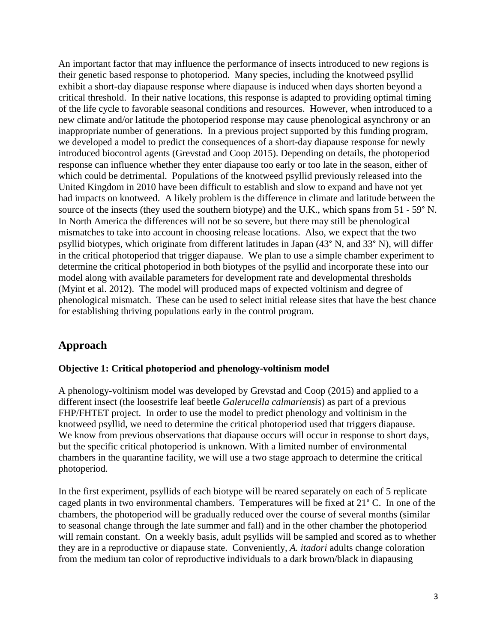An important factor that may influence the performance of insects introduced to new regions is their genetic based response to photoperiod. Many species, including the knotweed psyllid exhibit a short-day diapause response where diapause is induced when days shorten beyond a critical threshold. In their native locations, this response is adapted to providing optimal timing of the life cycle to favorable seasonal conditions and resources. However, when introduced to a new climate and/or latitude the photoperiod response may cause phenological asynchrony or an inappropriate number of generations. In a previous project supported by this funding program, we developed a model to predict the consequences of a short-day diapause response for newly introduced biocontrol agents (Grevstad and Coop 2015). Depending on details, the photoperiod response can influence whether they enter diapause too early or too late in the season, either of which could be detrimental. Populations of the knotweed psyllid previously released into the United Kingdom in 2010 have been difficult to establish and slow to expand and have not yet had impacts on knotweed. A likely problem is the difference in climate and latitude between the source of the insects (they used the southern biotype) and the U.K., which spans from 51 - 59° N. In North America the differences will not be so severe, but there may still be phenological mismatches to take into account in choosing release locations. Also, we expect that the two psyllid biotypes, which originate from different latitudes in Japan (43° N, and 33° N), will differ in the critical photoperiod that trigger diapause. We plan to use a simple chamber experiment to determine the critical photoperiod in both biotypes of the psyllid and incorporate these into our model along with available parameters for development rate and developmental thresholds (Myint et al. 2012). The model will produced maps of expected voltinism and degree of phenological mismatch. These can be used to select initial release sites that have the best chance for establishing thriving populations early in the control program.

#### **Approach**

#### **Objective 1: Critical photoperiod and phenology-voltinism model**

A phenology-voltinism model was developed by Grevstad and Coop (2015) and applied to a different insect (the loosestrife leaf beetle *Galerucella calmariensis*) as part of a previous FHP/FHTET project. In order to use the model to predict phenology and voltinism in the knotweed psyllid, we need to determine the critical photoperiod used that triggers diapause. We know from previous observations that diapause occurs will occur in response to short days, but the specific critical photoperiod is unknown. With a limited number of environmental chambers in the quarantine facility, we will use a two stage approach to determine the critical photoperiod.

In the first experiment, psyllids of each biotype will be reared separately on each of 5 replicate caged plants in two environmental chambers. Temperatures will be fixed at 21° C. In one of the chambers, the photoperiod will be gradually reduced over the course of several months (similar to seasonal change through the late summer and fall) and in the other chamber the photoperiod will remain constant. On a weekly basis, adult psyllids will be sampled and scored as to whether they are in a reproductive or diapause state. Conveniently, *A. itadori* adults change coloration from the medium tan color of reproductive individuals to a dark brown/black in diapausing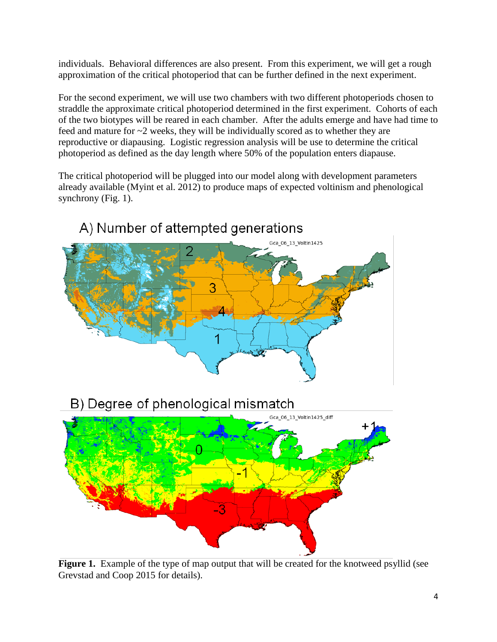individuals. Behavioral differences are also present. From this experiment, we will get a rough approximation of the critical photoperiod that can be further defined in the next experiment.

For the second experiment, we will use two chambers with two different photoperiods chosen to straddle the approximate critical photoperiod determined in the first experiment. Cohorts of each of the two biotypes will be reared in each chamber. After the adults emerge and have had time to feed and mature for  $\sim$ 2 weeks, they will be individually scored as to whether they are reproductive or diapausing. Logistic regression analysis will be use to determine the critical photoperiod as defined as the day length where 50% of the population enters diapause.

The critical photoperiod will be plugged into our model along with development parameters already available (Myint et al. 2012) to produce maps of expected voltinism and phenological synchrony (Fig. 1).



## A) Number of attempted generations

B) Degree of phenological mismatch



Figure 1. Example of the type of map output that will be created for the knotweed psyllid (see Grevstad and Coop 2015 for details).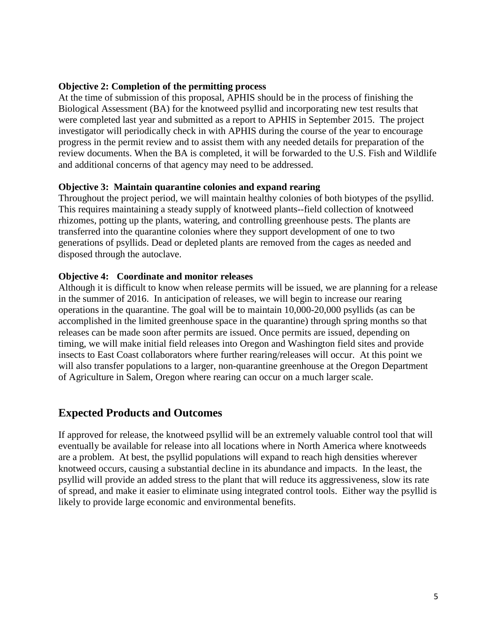#### **Objective 2: Completion of the permitting process**

At the time of submission of this proposal, APHIS should be in the process of finishing the Biological Assessment (BA) for the knotweed psyllid and incorporating new test results that were completed last year and submitted as a report to APHIS in September 2015. The project investigator will periodically check in with APHIS during the course of the year to encourage progress in the permit review and to assist them with any needed details for preparation of the review documents. When the BA is completed, it will be forwarded to the U.S. Fish and Wildlife and additional concerns of that agency may need to be addressed.

#### **Objective 3: Maintain quarantine colonies and expand rearing**

Throughout the project period, we will maintain healthy colonies of both biotypes of the psyllid. This requires maintaining a steady supply of knotweed plants--field collection of knotweed rhizomes, potting up the plants, watering, and controlling greenhouse pests. The plants are transferred into the quarantine colonies where they support development of one to two generations of psyllids. Dead or depleted plants are removed from the cages as needed and disposed through the autoclave.

#### **Objective 4: Coordinate and monitor releases**

Although it is difficult to know when release permits will be issued, we are planning for a release in the summer of 2016. In anticipation of releases, we will begin to increase our rearing operations in the quarantine. The goal will be to maintain 10,000-20,000 psyllids (as can be accomplished in the limited greenhouse space in the quarantine) through spring months so that releases can be made soon after permits are issued. Once permits are issued, depending on timing, we will make initial field releases into Oregon and Washington field sites and provide insects to East Coast collaborators where further rearing/releases will occur. At this point we will also transfer populations to a larger, non-quarantine greenhouse at the Oregon Department of Agriculture in Salem, Oregon where rearing can occur on a much larger scale.

#### **Expected Products and Outcomes**

If approved for release, the knotweed psyllid will be an extremely valuable control tool that will eventually be available for release into all locations where in North America where knotweeds are a problem. At best, the psyllid populations will expand to reach high densities wherever knotweed occurs, causing a substantial decline in its abundance and impacts. In the least, the psyllid will provide an added stress to the plant that will reduce its aggressiveness, slow its rate of spread, and make it easier to eliminate using integrated control tools. Either way the psyllid is likely to provide large economic and environmental benefits.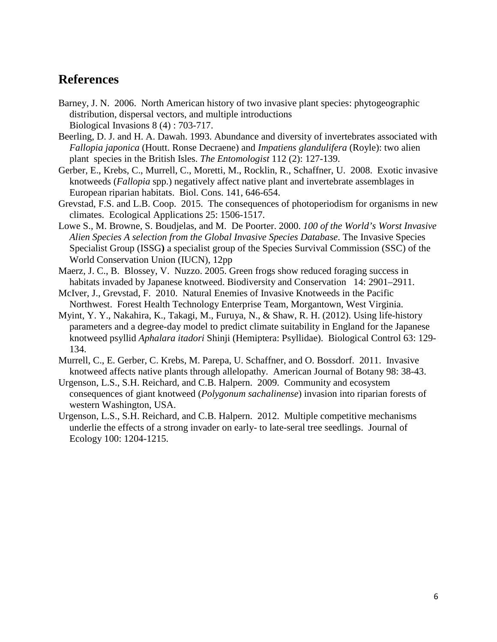## **References**

- Barney, J. N. 2006. [North American history of two invasive plant species: phytogeographic](http://apps.isiknowledge.com.offcampus.lib.washington.edu/BIOSIS/CIW.cgi?SID=A1@kl63aeb7Jd@AN2am;Func=Abstract;doc=10/11) [distribution, dispersal vectors, and multiple introductions](http://apps.isiknowledge.com.offcampus.lib.washington.edu/BIOSIS/CIW.cgi?SID=A1@kl63aeb7Jd@AN2am;Func=Abstract;doc=10/11) Biological Invasions 8 (4) : 703-717.
- Beerling, D. J. and H. A. Dawah. 1993. Abundance and diversity of invertebrates associated with *Fallopia japonica* (Houtt. Ronse Decraene) and *Impatiens glandulifera* (Royle): two alien plant species in the British Isles. *The Entomologist* 112 (2): 127-139.
- Gerber, E., Krebs, C., Murrell, C., Moretti, M., Rocklin, R., Schaffner, U. 2008. Exotic invasive knotweeds (*Fallopia* spp.) negatively affect native plant and invertebrate assemblages in European riparian habitats. Biol. Cons. 141, 646-654.
- Grevstad, F.S. and L.B. Coop. 2015. The consequences of photoperiodism for organisms in new climates. Ecological Applications 25: 1506-1517.
- Lowe S., M. Browne, S. Boudjelas, and M. De Poorter. 2000. *100 of the World's Worst Invasive Alien Species A selection from the Global Invasive Species Database*. The Invasive Species Specialist Group (ISSG**)** a specialist group of the Species Survival Commission (SSC) of the World Conservation Union (IUCN), 12pp
- Maerz, J. C., B. Blossey, V. Nuzzo. 2005. Green frogs show reduced foraging success in habitats invaded by Japanese knotweed. Biodiversity and Conservation 14: 2901–2911.
- McIver, J., Grevstad, F. 2010. Natural Enemies of Invasive Knotweeds in the Pacific Northwest. Forest Health Technology Enterprise Team, Morgantown, West Virginia.
- Myint, Y. Y., Nakahira, K., Takagi, M., Furuya, N., & Shaw, R. H. (2012). Using life-history parameters and a degree-day model to predict climate suitability in England for the Japanese knotweed psyllid *Aphalara itadori* Shinji (Hemiptera: Psyllidae). Biological Control 63: 129- 134.
- Murrell, C., E. Gerber, C. Krebs, M. Parepa, U. Schaffner, and O. Bossdorf. 2011. Invasive knotweed affects native plants through allelopathy. American Journal of Botany 98: 38-43.
- Urgenson, L.S., S.H. Reichard, and C.B. Halpern. 2009. Community and ecosystem consequences of giant knotweed (*Polygonum sachalinense*) invasion into riparian forests of western Washington, USA.
- Urgenson, L.S., S.H. Reichard, and C.B. Halpern. 2012. Multiple competitive mechanisms underlie the effects of a strong invader on early- to late-seral tree seedlings. Journal of Ecology 100: 1204-1215.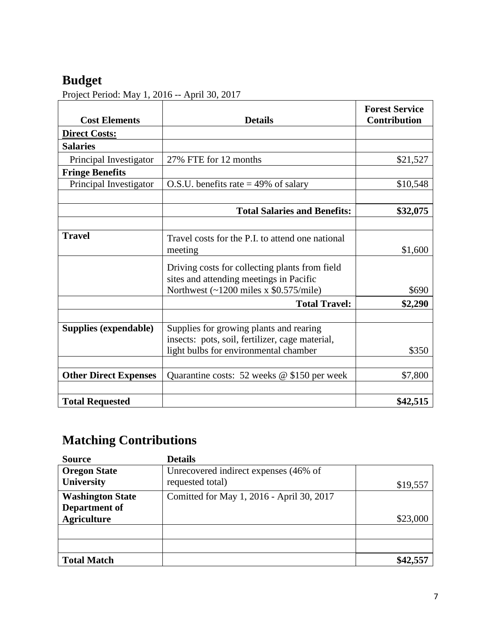# **Budget**

Project Period: May 1, 2016 -- April 30, 2017

| <b>Cost Elements</b>         | <b>Details</b>                                                        | <b>Forest Service</b><br><b>Contribution</b> |
|------------------------------|-----------------------------------------------------------------------|----------------------------------------------|
| <b>Direct Costs:</b>         |                                                                       |                                              |
| <b>Salaries</b>              |                                                                       |                                              |
| Principal Investigator       | 27% FTE for 12 months                                                 | \$21,527                                     |
| <b>Fringe Benefits</b>       |                                                                       |                                              |
| Principal Investigator       | O.S.U. benefits rate $=$ 49% of salary                                | \$10,548                                     |
|                              |                                                                       |                                              |
|                              | <b>Total Salaries and Benefits:</b>                                   | \$32,075                                     |
|                              |                                                                       |                                              |
| <b>Travel</b>                | Travel costs for the P.I. to attend one national                      |                                              |
|                              | meeting                                                               | \$1,600                                      |
|                              | Driving costs for collecting plants from field                        |                                              |
|                              | sites and attending meetings in Pacific                               |                                              |
|                              | Northwest $\left(\frac{1200}{31} \times \$0.575}{\text{mile}}\right)$ | \$690                                        |
|                              | <b>Total Travel:</b>                                                  | \$2,290                                      |
| Supplies (expendable)        | Supplies for growing plants and rearing                               |                                              |
|                              | insects: pots, soil, fertilizer, cage material,                       |                                              |
|                              | light bulbs for environmental chamber                                 | \$350                                        |
|                              |                                                                       |                                              |
| <b>Other Direct Expenses</b> | Quarantine costs: 52 weeks $@$ \$150 per week                         | \$7,800                                      |
|                              |                                                                       |                                              |
| <b>Total Requested</b>       |                                                                       | \$42,515                                     |

# **Matching Contributions**

| <b>Source</b>                     | <b>Details</b>                                            |          |
|-----------------------------------|-----------------------------------------------------------|----------|
| <b>Oregon State</b><br>University | Unrecovered indirect expenses (46% of<br>requested total) |          |
|                                   |                                                           | \$19,557 |
| <b>Washington State</b>           | Comitted for May 1, 2016 - April 30, 2017                 |          |
| Department of                     |                                                           |          |
| <b>Agriculture</b>                |                                                           | \$23,000 |
|                                   |                                                           |          |
|                                   |                                                           |          |
| <b>Total Match</b>                |                                                           |          |